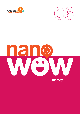



# **history**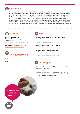## **Introduction**

 Teaching the history of science shows children that science is a human endeavour and that some major scientific discoveries have been found by chance. It allows children to associate with the lives of scientists and see that a career in science is possible. It also allows the children to understand the tentative nature of science and that in light of new observations, evidence and experimenting, science can be developmental, subject to change and consistently opening up new, exciting windows for exploration. This lesson has a comprehension piece that explores the history of Andre Geim, the scientist that discovered graphene. The story of Andre Geim highlights that creativity is needed for advancements in science. The lesson also has comprehension questions and a web quest challenge.

# **ICT links**

**Short animation on the History of Science and graphene**  2 minutes 48 seconds www.youtube.com/watch?v=dTSnnlITsVg

**Webquest link:** www.nobelprize.org/prizes/physics/2010/geim/interview/



- **•** History
- **•** English
- **•** Art

## **WALT**

- **• Understand that scientists work hard to find more information and explore how our world works.**
- **• Discuss the tentative nature of science.**
- **• Understand that scientists work with other scientists to develop ideas.**
- **• Understand that it is important to use creativity when experimenting.**
- **• Understand that science is for everyone.**

## **Teaching tips**

- **•** The story could be read to the children or photocopied for them to read themselves.
- **•** Teachers may choose to link this story with English and ask the children to complete the comprehension questions or let the children choose a journal entry instead.

**Science is a human endeavour and some major scientific discoveries have been found by chance**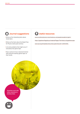## **Journal suggestions**

- Write out five interesting facts about Andre Geim.
- Write out five facts about the Nobel Prize for Physics (web quest activity).
- List some problems that might occur if everybody had 'gecko tape'.
- Draw a picture of your classroom/school with everyone wearing 'gecko tape' on their hands.

#### **Useful resources**

www.condmat.physics.manchester.ac.uk/people/academic/geim/ https://graphene-flagship.eu/material/Pages/The-history-of-graphene.aspx www.npr.org/templates/story/story.php?storyId=130353581

**Scientists work with other scientists to develop ideas**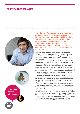#### **The story of Andre Geim**





**He is known for consistently experimenting with new things** Andre Geim is a Russian scientist who, alongside his colleague Konstantin Novoselov, discovered one of the most interesting materials in the world – graphene. They made this major scientific discovery using the material in your pencil and some sticky tape! Andre Geim is a very creative and successful scientist; he has always been interested in exploring science, finding out new things and learning more about the world we live in.

Andre Geim was born in Sochi, Russia in 1958. Although most of his family came from a German background, it is thought that his great grandmother was Jewish and he had to suffer prejudice in Russia because of his Jewish sounding name. Andre's father spent time in prison in Siberia.

Andre was a hard working student in school; however, he twice failed the entrance exam into his chosen university in Russia. He applied to another university, the Moscow Institute of Physics and Technology and was accepted. Geim was really interested in exploring science, finding out new things and learning more about the world we live in. He was able to avoid the compulsory two years of working in the army that every Russian man had to do because he was studying in a university. He went on to study in England and Denmark. In 1994, he became a professor in a university in the Netherlands.

While working in the Netherlands Geim met Konstantin Novoselov, who was also from Russia. Novoselov was Geim's student in the Netherlands. It was a fortuitous meeting and little did both men know that, more than a decade later, they would stand together and accept a major international prize for their work in science.

In 2001 Geim was employed as a professor of physics in the University of Manchester. Geim's wife, Irina became a lecturer in Manchester too. He liked life in England, he liked that everybody was valued the same in English universities.

Andre Geim is a very creative scientist. He is known for consistently experimenting with new things. However, not all of his ideas worked whilst some have been very effective. At times, he would work on a new idea and if his experimenting was successful he would let other scientists take over and develop the idea further, while he moved onto something new himself.

He famously created a magnetic field which allowed a little animal to levitate (float) in the air above it. He needed a good photograph to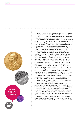**Graphene is stronger than steel, it is harder than diamonds**

show everybody that his invention had worked. He considered using lizards, spiders, cockroaches or hamsters but eventually he chose a little frog. The photograph made a huge impact all around the world and caused excited interest in this field of science.

Geim and his colleagues have also invented a "Gecko Tape"! Would you like to be able to scamper up a wall and across a ceiling like a gecko can? Imagine walking into your classroom and some of your friends were walking across the ceiling like Spiderman! Nanoscientists examined closely how a gecko's feet are able to cling to smooth surfaces like ceilings. Then, using the information they learned from the little gecko, they made a tape that they hope will, one day, be strong enough to put on human hands and allow us to scale walls and ceilings too!

In 2003 Geim and Novoselov, while working in Manchester, discovered a new super material they called 'graphene'. In 2004, they told the world about graphene. They explained that it is a 2D material on the nanoscale and that it is only one atom thick. Graphene is stronger than steel, it is harder than diamonds, it is transparent and it allows electricity to flow very easily through it. How did they find this material? The answer is, with a lump of graphite- which is the material in your pencil that you use to write with, and some sticky tape! They stuck the sticky tape on a lump of graphite, pulled it off, and then looked at the surface of the tape under some very high powered microscopes. When we stack layers and layers of graphene one on top of the other they form graphitethe stuff in your pencil, this means that anyone who has drawn a line with a pencil has probably made some graphene themselves!

Other nanoscientists who had been trying to find new materials like graphene for years, with high powered microscopes, were amazed when Geim and Novoselov found it using such basic, everyday materials. Imagine, a major scientific discovery, with the material in your pencil and some sticky tape!

The science community greatly valued Geim and Novoselov's discovery and in 2010 they were given one of the highest honours in science when they were presented with the Nobel Prize for Physics.

Geim's discovery has sparked huge interest with science researchers all over the world. Nanoscientists in research centres such as the CRANN institute in Trinity College, Dublin are working really hard, exploring the properties of graphene and exploring how they can use it in the future.

This new super material, discovered by Geim and Novoselov, might yet play a major role in providing clean drinking water for all the people of our planet and just think…it was in our pencils all along!!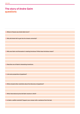## **The story of Andre Geim questions**

**1. Where in Russia was Andre Geim born?**

**2. Why did Andre fail to get into his chosen university?**

**3. Why was Geim and Novoselov's meeting fortuitous? What does fortuitous mean?**

**4. Describe one of Geim's interesting inventions.**

**5. List some properties of graphene?**

**6. What amazed other scientists about the discovery of graphene?**

**7. What international prize did Geim receive in 2010?** 

**8. Is Geim a selfish scientist? Support your answer with a sentence from the text.**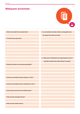